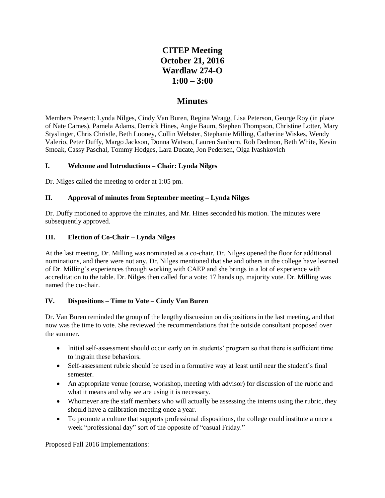# **CITEP Meeting October 21, 2016 Wardlaw 274-O 1:00 – 3:00**

## **Minutes**

Members Present: Lynda Nilges, Cindy Van Buren, Regina Wragg, Lisa Peterson, George Roy (in place of Nate Carnes), Pamela Adams, Derrick Hines, Angie Baum, Stephen Thompson, Christine Lotter, Mary Styslinger, Chris Christle, Beth Looney, Collin Webster, Stephanie Milling, Catherine Wiskes, Wendy Valerio, Peter Duffy, Margo Jackson, Donna Watson, Lauren Sanborn, Rob Dedmon, Beth White, Kevin Smoak, Cassy Paschal, Tommy Hodges, Lara Ducate, Jon Pedersen, Olga Ivashkovich

#### **I. Welcome and Introductions – Chair: Lynda Nilges**

Dr. Nilges called the meeting to order at 1:05 pm.

#### **II. Approval of minutes from September meeting – Lynda Nilges**

Dr. Duffy motioned to approve the minutes, and Mr. Hines seconded his motion. The minutes were subsequently approved.

#### **III. Election of Co-Chair – Lynda Nilges**

At the last meeting, Dr. Milling was nominated as a co-chair. Dr. Nilges opened the floor for additional nominations, and there were not any. Dr. Nilges mentioned that she and others in the college have learned of Dr. Milling's experiences through working with CAEP and she brings in a lot of experience with accreditation to the table. Dr. Nilges then called for a vote: 17 hands up, majority vote. Dr. Milling was named the co-chair.

#### **IV. Dispositions – Time to Vote – Cindy Van Buren**

Dr. Van Buren reminded the group of the lengthy discussion on dispositions in the last meeting, and that now was the time to vote. She reviewed the recommendations that the outside consultant proposed over the summer.

- Initial self-assessment should occur early on in students' program so that there is sufficient time to ingrain these behaviors.
- Self-assessment rubric should be used in a formative way at least until near the student's final semester.
- An appropriate venue (course, workshop, meeting with advisor) for discussion of the rubric and what it means and why we are using it is necessary.
- Whomever are the staff members who will actually be assessing the interns using the rubric, they should have a calibration meeting once a year.
- To promote a culture that supports professional dispositions, the college could institute a once a week "professional day" sort of the opposite of "casual Friday."

Proposed Fall 2016 Implementations: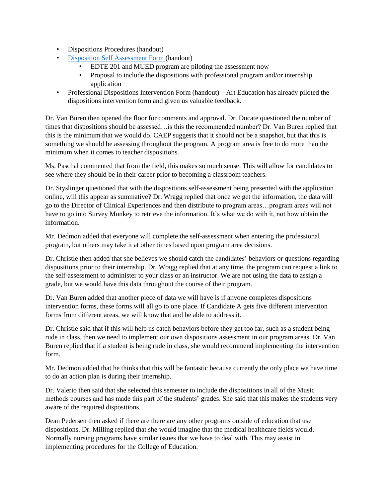- Dispositions Procedures (handout)
- [Disposition Self Assessment Form \(](https://www.surveymonkey.com/r/COETeaching)handout)
	- EDTE 201 and MUED program are piloting the assessment now
	- Proposal to include the dispositions with professional program and/or internship application
- Professional Dispositions Intervention Form (handout) Art Education has already piloted the dispositions intervention form and given us valuable feedback.

Dr. Van Buren then opened the floor for comments and approval. Dr. Ducate questioned the number of times that dispositions should be assessed…is this the recommended number? Dr. Van Buren replied that this is the minimum that we would do. CAEP suggests that it should not be a snapshot, but that this is something we should be assessing throughout the program. A program area is free to do more than the minimum when it comes to teacher dispositions.

Ms. Paschal commented that from the field, this makes so much sense. This will allow for candidates to see where they should be in their career prior to becoming a classroom teachers.

Dr. Styslinger questioned that with the dispositions self-assessment being presented with the application online, will this appear as summative? Dr. Wragg replied that once we get the information, the data will go to the Director of Clinical Experiences and then distribute to program areas…program areas will not have to go into Survey Monkey to retrieve the information. It's what we do with it, not how obtain the information.

Mr. Dedmon added that everyone will complete the self-assessment when entering the professional program, but others may take it at other times based upon program area decisions.

Dr. Christle then added that she believes we should catch the candidates' behaviors or questions regarding dispositions prior to their internship. Dr. Wragg replied that at any time, the program can request a link to the self-assessment to administer to your class or an instructor. We are not using the data to assign a grade, but we would have this data throughout the course of their program.

Dr. Van Buren added that another piece of data we will have is if anyone completes dispositions intervention forms, these forms will all go to one place. If Candidate A gets five different intervention forms from different areas, we will know that and be able to address it.

Dr. Christle said that if this will help us catch behaviors before they get too far, such as a student being rude in class, then we need to implement our own dispositions assessment in our program areas. Dr. Van Buren replied that if a student is being rude in class, she would recommend implementing the intervention form.

Mr. Dedmon added that he thinks that this will be fantastic because currently the only place we have time to do an action plan is during their internship.

Dr. Valerio then said that she selected this semester to include the dispositions in all of the Music methods courses and has made this part of the students' grades. She said that this makes the students very aware of the required dispositions.

Dean Pedersen then asked if there are there are any other programs outside of education that use dispositions. Dr. Milling replied that she would imagine that the medical healthcare fields would. Normally nursing programs have similar issues that we have to deal with. This may assist in implementing procedures for the College of Education.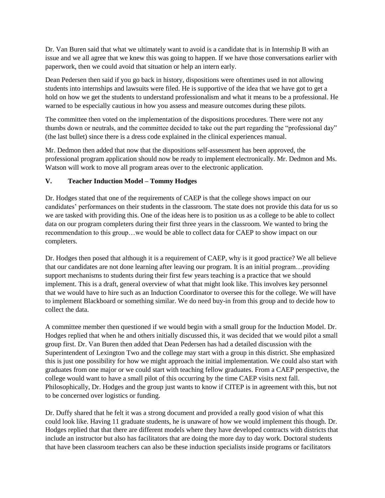Dr. Van Buren said that what we ultimately want to avoid is a candidate that is in Internship B with an issue and we all agree that we knew this was going to happen. If we have those conversations earlier with paperwork, then we could avoid that situation or help an intern early.

Dean Pedersen then said if you go back in history, dispositions were oftentimes used in not allowing students into internships and lawsuits were filed. He is supportive of the idea that we have got to get a hold on how we get the students to understand professionalism and what it means to be a professional. He warned to be especially cautious in how you assess and measure outcomes during these pilots.

The committee then voted on the implementation of the dispositions procedures. There were not any thumbs down or neutrals, and the committee decided to take out the part regarding the "professional day" (the last bullet) since there is a dress code explained in the clinical experiences manual.

Mr. Dedmon then added that now that the dispositions self-assessment has been approved, the professional program application should now be ready to implement electronically. Mr. Dedmon and Ms. Watson will work to move all program areas over to the electronic application.

#### **V. Teacher Induction Model – Tommy Hodges**

Dr. Hodges stated that one of the requirements of CAEP is that the college shows impact on our candidates' performances on their students in the classroom. The state does not provide this data for us so we are tasked with providing this. One of the ideas here is to position us as a college to be able to collect data on our program completers during their first three years in the classroom. We wanted to bring the recommendation to this group…we would be able to collect data for CAEP to show impact on our completers.

Dr. Hodges then posed that although it is a requirement of CAEP, why is it good practice? We all believe that our candidates are not done learning after leaving our program. It is an initial program…providing support mechanisms to students during their first few years teaching is a practice that we should implement. This is a draft, general overview of what that might look like. This involves key personnel that we would have to hire such as an Induction Coordinator to oversee this for the college. We will have to implement Blackboard or something similar. We do need buy-in from this group and to decide how to collect the data.

A committee member then questioned if we would begin with a small group for the Induction Model. Dr. Hodges replied that when he and others initially discussed this, it was decided that we would pilot a small group first. Dr. Van Buren then added that Dean Pedersen has had a detailed discussion with the Superintendent of Lexington Two and the college may start with a group in this district. She emphasized this is just one possibility for how we might approach the initial implementation. We could also start with graduates from one major or we could start with teaching fellow graduates. From a CAEP perspective, the college would want to have a small pilot of this occurring by the time CAEP visits next fall. Philosophically, Dr. Hodges and the group just wants to know if CITEP is in agreement with this, but not to be concerned over logistics or funding.

Dr. Duffy shared that he felt it was a strong document and provided a really good vision of what this could look like. Having 11 graduate students, he is unaware of how we would implement this though. Dr. Hodges replied that that there are different models where they have developed contracts with districts that include an instructor but also has facilitators that are doing the more day to day work. Doctoral students that have been classroom teachers can also be these induction specialists inside programs or facilitators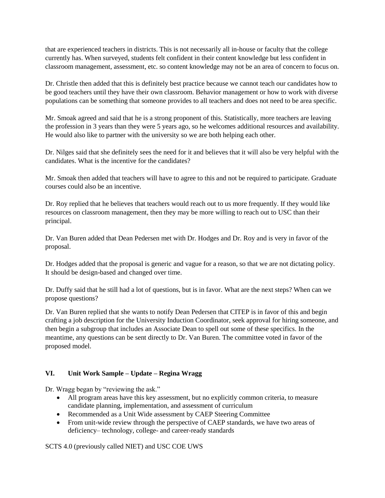that are experienced teachers in districts. This is not necessarily all in-house or faculty that the college currently has. When surveyed, students felt confident in their content knowledge but less confident in classroom management, assessment, etc. so content knowledge may not be an area of concern to focus on.

Dr. Christle then added that this is definitely best practice because we cannot teach our candidates how to be good teachers until they have their own classroom. Behavior management or how to work with diverse populations can be something that someone provides to all teachers and does not need to be area specific.

Mr. Smoak agreed and said that he is a strong proponent of this. Statistically, more teachers are leaving the profession in 3 years than they were 5 years ago, so he welcomes additional resources and availability. He would also like to partner with the university so we are both helping each other.

Dr. Nilges said that she definitely sees the need for it and believes that it will also be very helpful with the candidates. What is the incentive for the candidates?

Mr. Smoak then added that teachers will have to agree to this and not be required to participate. Graduate courses could also be an incentive.

Dr. Roy replied that he believes that teachers would reach out to us more frequently. If they would like resources on classroom management, then they may be more willing to reach out to USC than their principal.

Dr. Van Buren added that Dean Pedersen met with Dr. Hodges and Dr. Roy and is very in favor of the proposal.

Dr. Hodges added that the proposal is generic and vague for a reason, so that we are not dictating policy. It should be design-based and changed over time.

Dr. Duffy said that he still had a lot of questions, but is in favor. What are the next steps? When can we propose questions?

Dr. Van Buren replied that she wants to notify Dean Pedersen that CITEP is in favor of this and begin crafting a job description for the University Induction Coordinator, seek approval for hiring someone, and then begin a subgroup that includes an Associate Dean to spell out some of these specifics. In the meantime, any questions can be sent directly to Dr. Van Buren. The committee voted in favor of the proposed model.

## **VI. Unit Work Sample – Update – Regina Wragg**

Dr. Wragg began by "reviewing the ask."

- All program areas have this key assessment, but no explicitly common criteria, to measure candidate planning, implementation, and assessment of curriculum
- Recommended as a Unit Wide assessment by CAEP Steering Committee
- From unit-wide review through the perspective of CAEP standards, we have two areas of deficiency– technology, college- and career-ready standards

SCTS 4.0 (previously called NIET) and USC COE UWS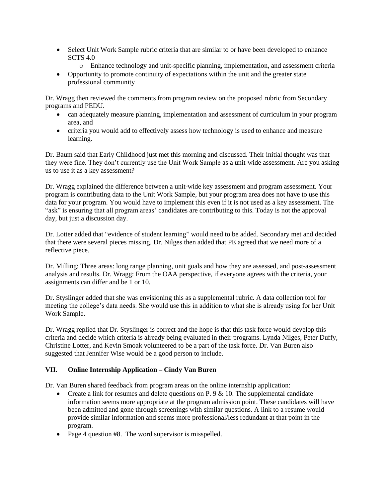- Select Unit Work Sample rubric criteria that are similar to or have been developed to enhance SCTS 4.0
	- o Enhance technology and unit-specific planning, implementation, and assessment criteria
- Opportunity to promote continuity of expectations within the unit and the greater state professional community

Dr. Wragg then reviewed the comments from program review on the proposed rubric from Secondary programs and PEDU.

- can adequately measure planning, implementation and assessment of curriculum in your program area, and
- criteria you would add to effectively assess how technology is used to enhance and measure learning.

Dr. Baum said that Early Childhood just met this morning and discussed. Their initial thought was that they were fine. They don't currently use the Unit Work Sample as a unit-wide assessment. Are you asking us to use it as a key assessment?

Dr. Wragg explained the difference between a unit-wide key assessment and program assessment. Your program is contributing data to the Unit Work Sample, but your program area does not have to use this data for your program. You would have to implement this even if it is not used as a key assessment. The "ask" is ensuring that all program areas' candidates are contributing to this. Today is not the approval day, but just a discussion day.

Dr. Lotter added that "evidence of student learning" would need to be added. Secondary met and decided that there were several pieces missing. Dr. Nilges then added that PE agreed that we need more of a reflective piece.

Dr. Milling: Three areas: long range planning, unit goals and how they are assessed, and post-assessment analysis and results. Dr. Wragg: From the OAA perspective, if everyone agrees with the criteria, your assignments can differ and be 1 or 10.

Dr. Styslinger added that she was envisioning this as a supplemental rubric. A data collection tool for meeting the college's data needs. She would use this in addition to what she is already using for her Unit Work Sample.

Dr. Wragg replied that Dr. Styslinger is correct and the hope is that this task force would develop this criteria and decide which criteria is already being evaluated in their programs. Lynda Nilges, Peter Duffy, Christine Lotter, and Kevin Smoak volunteered to be a part of the task force. Dr. Van Buren also suggested that Jennifer Wise would be a good person to include.

#### **VII. Online Internship Application – Cindy Van Buren**

Dr. Van Buren shared feedback from program areas on the online internship application:

- Create a link for resumes and delete questions on P.  $9 \& 10$ . The supplemental candidate information seems more appropriate at the program admission point. These candidates will have been admitted and gone through screenings with similar questions. A link to a resume would provide similar information and seems more professional/less redundant at that point in the program.
- Page 4 question #8. The word supervisor is misspelled.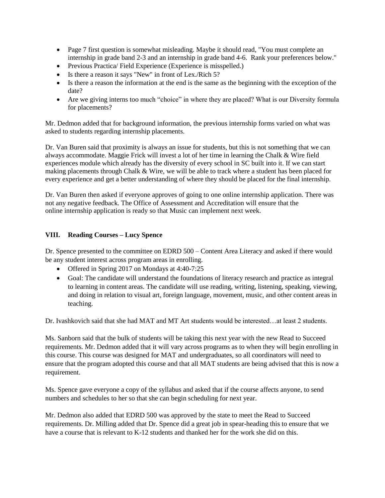- Page 7 first question is somewhat misleading. Maybe it should read, "You must complete an internship in grade band 2-3 and an internship in grade band 4-6. Rank your preferences below."
- Previous Practica/ Field Experience (Experience is misspelled.)
- Is there a reason it says "New" in front of Lex./Rich 5?
- Is there a reason the information at the end is the same as the beginning with the exception of the date?
- Are we giving interns too much "choice" in where they are placed? What is our Diversity formula for placements?

Mr. Dedmon added that for background information, the previous internship forms varied on what was asked to students regarding internship placements.

Dr. Van Buren said that proximity is always an issue for students, but this is not something that we can always accommodate. Maggie Frick will invest a lot of her time in learning the Chalk & Wire field experiences module which already has the diversity of every school in SC built into it. If we can start making placements through Chalk & Wire, we will be able to track where a student has been placed for every experience and get a better understanding of where they should be placed for the final internship.

Dr. Van Buren then asked if everyone approves of going to one online internship application. There was not any negative feedback. The Office of Assessment and Accreditation will ensure that the online internship application is ready so that Music can implement next week.

#### **VIII. Reading Courses – Lucy Spence**

Dr. Spence presented to the committee on EDRD 500 – Content Area Literacy and asked if there would be any student interest across program areas in enrolling.

- Offered in Spring 2017 on Mondays at 4:40-7:25
- Goal: The candidate will understand the foundations of literacy research and practice as integral to learning in content areas. The candidate will use reading, writing, listening, speaking, viewing, and doing in relation to visual art, foreign language, movement, music, and other content areas in teaching.

Dr. Ivashkovich said that she had MAT and MT Art students would be interested…at least 2 students.

Ms. Sanborn said that the bulk of students will be taking this next year with the new Read to Succeed requirements. Mr. Dedmon added that it will vary across programs as to when they will begin enrolling in this course. This course was designed for MAT and undergraduates, so all coordinators will need to ensure that the program adopted this course and that all MAT students are being advised that this is now a requirement.

Ms. Spence gave everyone a copy of the syllabus and asked that if the course affects anyone, to send numbers and schedules to her so that she can begin scheduling for next year.

Mr. Dedmon also added that EDRD 500 was approved by the state to meet the Read to Succeed requirements. Dr. Milling added that Dr. Spence did a great job in spear-heading this to ensure that we have a course that is relevant to K-12 students and thanked her for the work she did on this.